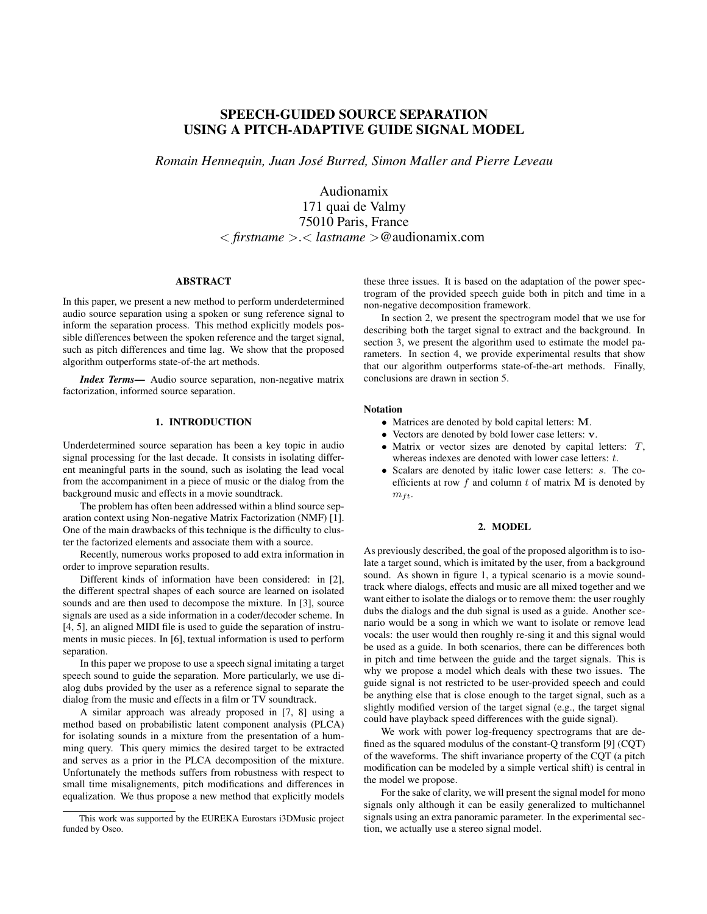# SPEECH-GUIDED SOURCE SEPARATION USING A PITCH-ADAPTIVE GUIDE SIGNAL MODEL

*Romain Hennequin, Juan Jose Burred, Simon Maller and Pierre Leveau ´*

Audionamix

171 quai de Valmy 75010 Paris, France < *firstname* >.< *lastname* >@audionamix.com

# ABSTRACT

In this paper, we present a new method to perform underdetermined audio source separation using a spoken or sung reference signal to inform the separation process. This method explicitly models possible differences between the spoken reference and the target signal, such as pitch differences and time lag. We show that the proposed algorithm outperforms state-of-the art methods.

*Index Terms*— Audio source separation, non-negative matrix factorization, informed source separation.

### 1. INTRODUCTION

Underdetermined source separation has been a key topic in audio signal processing for the last decade. It consists in isolating different meaningful parts in the sound, such as isolating the lead vocal from the accompaniment in a piece of music or the dialog from the background music and effects in a movie soundtrack.

The problem has often been addressed within a blind source separation context using Non-negative Matrix Factorization (NMF) [1]. One of the main drawbacks of this technique is the difficulty to cluster the factorized elements and associate them with a source.

Recently, numerous works proposed to add extra information in order to improve separation results.

Different kinds of information have been considered: in [2], the different spectral shapes of each source are learned on isolated sounds and are then used to decompose the mixture. In [3], source signals are used as a side information in a coder/decoder scheme. In [4, 5], an aligned MIDI file is used to guide the separation of instruments in music pieces. In [6], textual information is used to perform separation.

In this paper we propose to use a speech signal imitating a target speech sound to guide the separation. More particularly, we use dialog dubs provided by the user as a reference signal to separate the dialog from the music and effects in a film or TV soundtrack.

A similar approach was already proposed in [7, 8] using a method based on probabilistic latent component analysis (PLCA) for isolating sounds in a mixture from the presentation of a humming query. This query mimics the desired target to be extracted and serves as a prior in the PLCA decomposition of the mixture. Unfortunately the methods suffers from robustness with respect to small time misalignements, pitch modifications and differences in equalization. We thus propose a new method that explicitly models these three issues. It is based on the adaptation of the power spectrogram of the provided speech guide both in pitch and time in a non-negative decomposition framework.

In section 2, we present the spectrogram model that we use for describing both the target signal to extract and the background. In section 3, we present the algorithm used to estimate the model parameters. In section 4, we provide experimental results that show that our algorithm outperforms state-of-the-art methods. Finally, conclusions are drawn in section 5.

### Notation

- Matrices are denoted by bold capital letters: M.
- Vectors are denoted by bold lower case letters: v.
- Matrix or vector sizes are denoted by capital letters:  $T$ , whereas indexes are denoted with lower case letters:  $t$ .
- Scalars are denoted by italic lower case letters: s. The coefficients at row  $f$  and column  $t$  of matrix  $M$  is denoted by  $m_{ft}$ .

### 2. MODEL

As previously described, the goal of the proposed algorithm is to isolate a target sound, which is imitated by the user, from a background sound. As shown in figure 1, a typical scenario is a movie soundtrack where dialogs, effects and music are all mixed together and we want either to isolate the dialogs or to remove them: the user roughly dubs the dialogs and the dub signal is used as a guide. Another scenario would be a song in which we want to isolate or remove lead vocals: the user would then roughly re-sing it and this signal would be used as a guide. In both scenarios, there can be differences both in pitch and time between the guide and the target signals. This is why we propose a model which deals with these two issues. The guide signal is not restricted to be user-provided speech and could be anything else that is close enough to the target signal, such as a slightly modified version of the target signal (e.g., the target signal could have playback speed differences with the guide signal).

We work with power log-frequency spectrograms that are defined as the squared modulus of the constant-Q transform [9] (CQT) of the waveforms. The shift invariance property of the CQT (a pitch modification can be modeled by a simple vertical shift) is central in the model we propose.

For the sake of clarity, we will present the signal model for mono signals only although it can be easily generalized to multichannel signals using an extra panoramic parameter. In the experimental section, we actually use a stereo signal model.

This work was supported by the EUREKA Eurostars i3DMusic project funded by Oseo.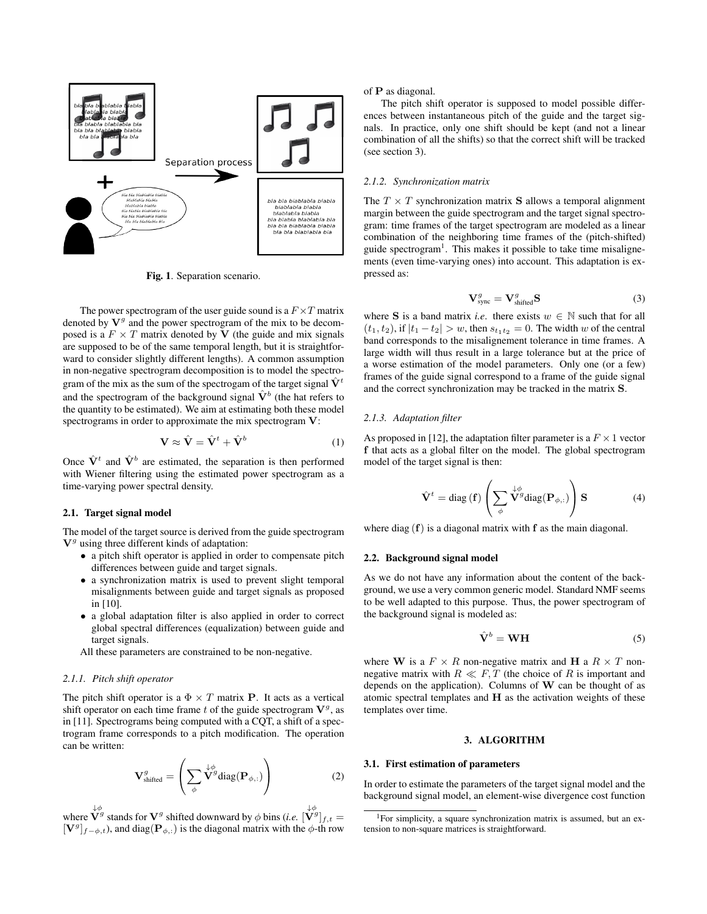

Fig. 1. Separation scenario.

The power spectrogram of the user guide sound is a  $F \times T$  matrix denoted by  $V<sup>g</sup>$  and the power spectrogram of the mix to be decomposed is a  $F \times T$  matrix denoted by V (the guide and mix signals are supposed to be of the same temporal length, but it is straightforward to consider slightly different lengths). A common assumption in non-negative spectrogram decomposition is to model the spectrogram of the mix as the sum of the spectrogam of the target signal  $\hat{V}^t$ and the spectrogram of the background signal  $\hat{V}^b$  (the hat refers to the quantity to be estimated). We aim at estimating both these model spectrograms in order to approximate the mix spectrogram V:

$$
\mathbf{V} \approx \hat{\mathbf{V}} = \hat{\mathbf{V}}^t + \hat{\mathbf{V}}^b \tag{1}
$$

Once  $\hat{\mathbf{V}}^t$  and  $\hat{\mathbf{V}}^b$  are estimated, the separation is then performed with Wiener filtering using the estimated power spectrogram as a time-varying power spectral density.

# 2.1. Target signal model

The model of the target source is derived from the guide spectrogram  $V<sup>g</sup>$  using three different kinds of adaptation:

- a pitch shift operator is applied in order to compensate pitch differences between guide and target signals.
- a synchronization matrix is used to prevent slight temporal misalignments between guide and target signals as proposed in [10].
- a global adaptation filter is also applied in order to correct global spectral differences (equalization) between guide and target signals.
- All these parameters are constrained to be non-negative.

### *2.1.1. Pitch shift operator*

The pitch shift operator is a  $\Phi \times T$  matrix **P**. It acts as a vertical shift operator on each time frame t of the guide spectrogram  $V<sup>g</sup>$ , as in [11]. Spectrograms being computed with a CQT, a shift of a spectrogram frame corresponds to a pitch modification. The operation can be written:

$$
\mathbf{V}_{\text{shifted}}^g = \left(\sum_{\phi} \mathbf{\dot{V}}^g \text{diag}(\mathbf{P}_{\phi,:})\right) \tag{2}
$$

where  $\overline{\mathbf{V}}^g$  stands for  $\mathbf{V}^g$  shifted downward by  $\phi$  bins (*i.e.*  $[\overline{\mathbf{V}}^g]_{f,t} =$  $[\mathbf{V}^g]_{f-\phi,t}$ ), and diag( $[\mathbf{P}_{\phi,t}]$ ) is the diagonal matrix with the  $\phi$ -th row of P as diagonal.

The pitch shift operator is supposed to model possible differences between instantaneous pitch of the guide and the target signals. In practice, only one shift should be kept (and not a linear combination of all the shifts) so that the correct shift will be tracked (see section 3).

#### *2.1.2. Synchronization matrix*

The  $T \times T$  synchronization matrix **S** allows a temporal alignment margin between the guide spectrogram and the target signal spectrogram: time frames of the target spectrogram are modeled as a linear combination of the neighboring time frames of the (pitch-shifted) guide spectrogram<sup>1</sup>. This makes it possible to take time misalignements (even time-varying ones) into account. This adaptation is expressed as:

$$
\mathbf{V}_{\text{sync}}^{g} = \mathbf{V}_{\text{shifted}}^{g} \mathbf{S}
$$
 (3)

where S is a band matrix *i.e.* there exists  $w \in \mathbb{N}$  such that for all  $(t_1, t_2)$ , if  $|t_1 - t_2| > w$ , then  $s_{t_1t_2} = 0$ . The width w of the central band corresponds to the misalignement tolerance in time frames. A large width will thus result in a large tolerance but at the price of a worse estimation of the model parameters. Only one (or a few) frames of the guide signal correspond to a frame of the guide signal and the correct synchronization may be tracked in the matrix S.

### *2.1.3. Adaptation filter*

As proposed in [12], the adaptation filter parameter is a  $F \times 1$  vector f that acts as a global filter on the model. The global spectrogram model of the target signal is then:

$$
\hat{\mathbf{V}}^{t} = \text{diag}(\mathbf{f}) \left( \sum_{\phi} \stackrel{\downarrow \phi}{\mathbf{V}^{g}} \text{diag}(\mathbf{P}_{\phi,:}) \right) \mathbf{S} \tag{4}
$$

where diag  $(f)$  is a diagonal matrix with f as the main diagonal.

### 2.2. Background signal model

As we do not have any information about the content of the background, we use a very common generic model. Standard NMF seems to be well adapted to this purpose. Thus, the power spectrogram of the background signal is modeled as:

$$
\hat{\mathbf{V}}^b = \mathbf{W}\mathbf{H} \tag{5}
$$

where W is a  $F \times R$  non-negative matrix and H a  $R \times T$  nonnegative matrix with  $R \ll F$ , T (the choice of R is important and depends on the application). Columns of  $W$  can be thought of as atomic spectral templates and H as the activation weights of these templates over time.

### 3. ALGORITHM

### 3.1. First estimation of parameters

In order to estimate the parameters of the target signal model and the background signal model, an element-wise divergence cost function

<sup>&</sup>lt;sup>1</sup>For simplicity, a square synchronization matrix is assumed, but an extension to non-square matrices is straightforward.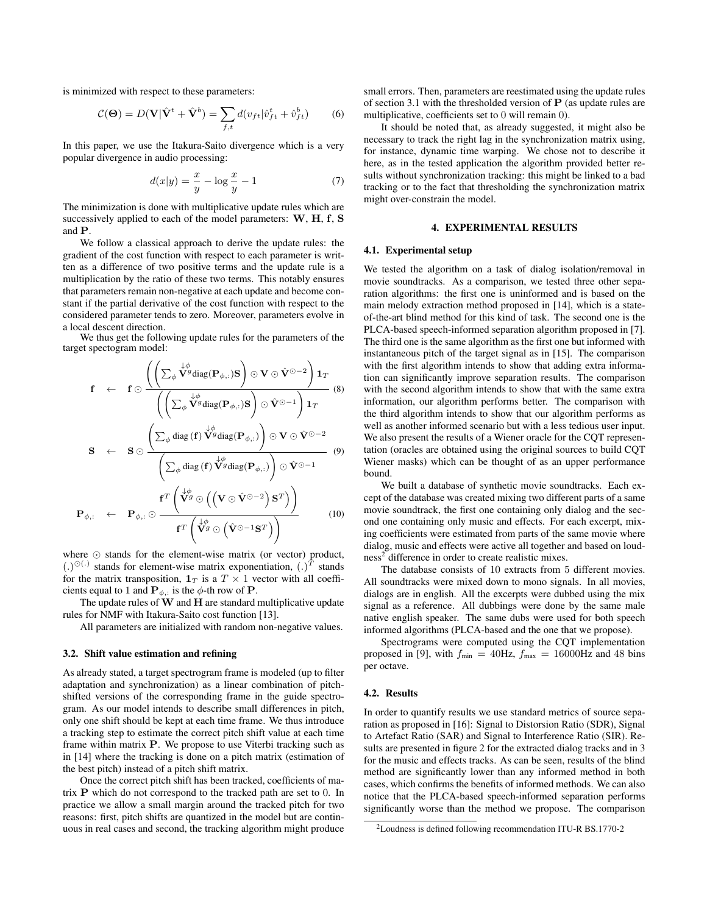is minimized with respect to these parameters:

$$
\mathcal{C}(\mathbf{\Theta}) = D(\mathbf{V}|\hat{\mathbf{V}}^t + \hat{\mathbf{V}}^b) = \sum_{f,t} d(v_{ft}|\hat{v}_{ft}^t + \hat{v}_{ft}^b)
$$
(6)

In this paper, we use the Itakura-Saito divergence which is a very popular divergence in audio processing:

$$
d(x|y) = \frac{x}{y} - \log\frac{x}{y} - 1\tag{7}
$$

The minimization is done with multiplicative update rules which are successively applied to each of the model parameters: W, H, f, S and P.

We follow a classical approach to derive the update rules: the gradient of the cost function with respect to each parameter is written as a difference of two positive terms and the update rule is a multiplication by the ratio of these two terms. This notably ensures that parameters remain non-negative at each update and become constant if the partial derivative of the cost function with respect to the considered parameter tends to zero. Moreover, parameters evolve in a local descent direction.

We thus get the following update rules for the parameters of the target spectogram model:

$$
\mathbf{f} \leftarrow \mathbf{f} \odot \frac{\left(\left(\sum_{\phi} \mathbf{v}^{\phi} \mathbf{G} \text{diag}(\mathbf{P}_{\phi,:}) \mathbf{S}\right) \odot \mathbf{V} \odot \hat{\mathbf{V}}^{\odot} - 2\right) \mathbf{1}_{T}}{\left(\left(\sum_{\phi} \mathbf{v}^{\phi} \text{diag}(\mathbf{P}_{\phi,:}) \mathbf{S}\right) \odot \hat{\mathbf{V}}^{\odot} - 1\right) \mathbf{1}_{T}} \quad (8)
$$
\n
$$
\mathbf{S} \leftarrow \mathbf{S} \odot \frac{\left(\sum_{\phi} \text{diag}(\mathbf{f}) \mathbf{v}^{\phi} \text{diag}(\mathbf{P}_{\phi,:})\right) \odot \mathbf{V} \odot \hat{\mathbf{V}}^{\odot} - 2}{\left(\sum_{\phi} \text{diag}(\mathbf{f}) \mathbf{v}^{\phi} \text{diag}(\mathbf{P}_{\phi,:})\right) \odot \hat{\mathbf{V}}^{\odot} - 1} \quad (9)
$$
\n
$$
\mathbf{P}_{\phi,:} \leftarrow \mathbf{P}_{\phi,:} \odot \frac{\mathbf{f}^{T}\left(\mathbf{v}^{\phi} \odot \left(\left(\mathbf{V} \odot \hat{\mathbf{V}}^{\odot} - 2\right) \mathbf{S}^{T}\right)\right)}{\mathbf{f}^{T}\left(\mathbf{v}^{\phi} \odot \left(\hat{\mathbf{V}}^{\odot} - 1 \mathbf{S}^{T}\right)\right)} \quad (10)
$$

where  $\odot$  stands for the element-wise matrix (or vector) product,  $(.)^{\odot(.)}$  stands for element-wise matrix exponentiation,  $(.)^T$  stands for the matrix transposition,  $1_T$  is a  $T \times 1$  vector with all coefficients equal to 1 and  ${\bf P}_{\phi}$ , is the  $\phi$ -th row of **P**.

The update rules of  $W$  and  $H$  are standard multiplicative update rules for NMF with Itakura-Saito cost function [13].

All parameters are initialized with random non-negative values.

### 3.2. Shift value estimation and refining

As already stated, a target spectrogram frame is modeled (up to filter adaptation and synchronization) as a linear combination of pitchshifted versions of the corresponding frame in the guide spectrogram. As our model intends to describe small differences in pitch, only one shift should be kept at each time frame. We thus introduce a tracking step to estimate the correct pitch shift value at each time frame within matrix P. We propose to use Viterbi tracking such as in [14] where the tracking is done on a pitch matrix (estimation of the best pitch) instead of a pitch shift matrix.

Once the correct pitch shift has been tracked, coefficients of matrix P which do not correspond to the tracked path are set to 0. In practice we allow a small margin around the tracked pitch for two reasons: first, pitch shifts are quantized in the model but are continuous in real cases and second, the tracking algorithm might produce

small errors. Then, parameters are reestimated using the update rules of section 3.1 with the thresholded version of  $P$  (as update rules are multiplicative, coefficients set to 0 will remain 0).

It should be noted that, as already suggested, it might also be necessary to track the right lag in the synchronization matrix using, for instance, dynamic time warping. We chose not to describe it here, as in the tested application the algorithm provided better results without synchronization tracking: this might be linked to a bad tracking or to the fact that thresholding the synchronization matrix might over-constrain the model.

### 4. EXPERIMENTAL RESULTS

### 4.1. Experimental setup

We tested the algorithm on a task of dialog isolation/removal in movie soundtracks. As a comparison, we tested three other separation algorithms: the first one is uninformed and is based on the main melody extraction method proposed in [14], which is a stateof-the-art blind method for this kind of task. The second one is the PLCA-based speech-informed separation algorithm proposed in [7]. The third one is the same algorithm as the first one but informed with instantaneous pitch of the target signal as in [15]. The comparison with the first algorithm intends to show that adding extra information can significantly improve separation results. The comparison with the second algorithm intends to show that with the same extra information, our algorithm performs better. The comparison with the third algorithm intends to show that our algorithm performs as well as another informed scenario but with a less tedious user input. We also present the results of a Wiener oracle for the CQT representation (oracles are obtained using the original sources to build CQT Wiener masks) which can be thought of as an upper performance bound.

We built a database of synthetic movie soundtracks. Each except of the database was created mixing two different parts of a same movie soundtrack, the first one containing only dialog and the second one containing only music and effects. For each excerpt, mixing coefficients were estimated from parts of the same movie where dialog, music and effects were active all together and based on loudness<sup>2</sup> difference in order to create realistic mixes.

The database consists of 10 extracts from 5 different movies. All soundtracks were mixed down to mono signals. In all movies, dialogs are in english. All the excerpts were dubbed using the mix signal as a reference. All dubbings were done by the same male native english speaker. The same dubs were used for both speech informed algorithms (PLCA-based and the one that we propose).

Spectrograms were computed using the CQT implementation proposed in [9], with  $f_{\text{min}} = 40$ Hz,  $f_{\text{max}} = 16000$ Hz and 48 bins per octave.

# 4.2. Results

In order to quantify results we use standard metrics of source separation as proposed in [16]: Signal to Distorsion Ratio (SDR), Signal to Artefact Ratio (SAR) and Signal to Interference Ratio (SIR). Results are presented in figure 2 for the extracted dialog tracks and in 3 for the music and effects tracks. As can be seen, results of the blind method are significantly lower than any informed method in both cases, which confirms the benefits of informed methods. We can also notice that the PLCA-based speech-informed separation performs significantly worse than the method we propose. The comparison

<sup>2</sup>Loudness is defined following recommendation ITU-R BS.1770-2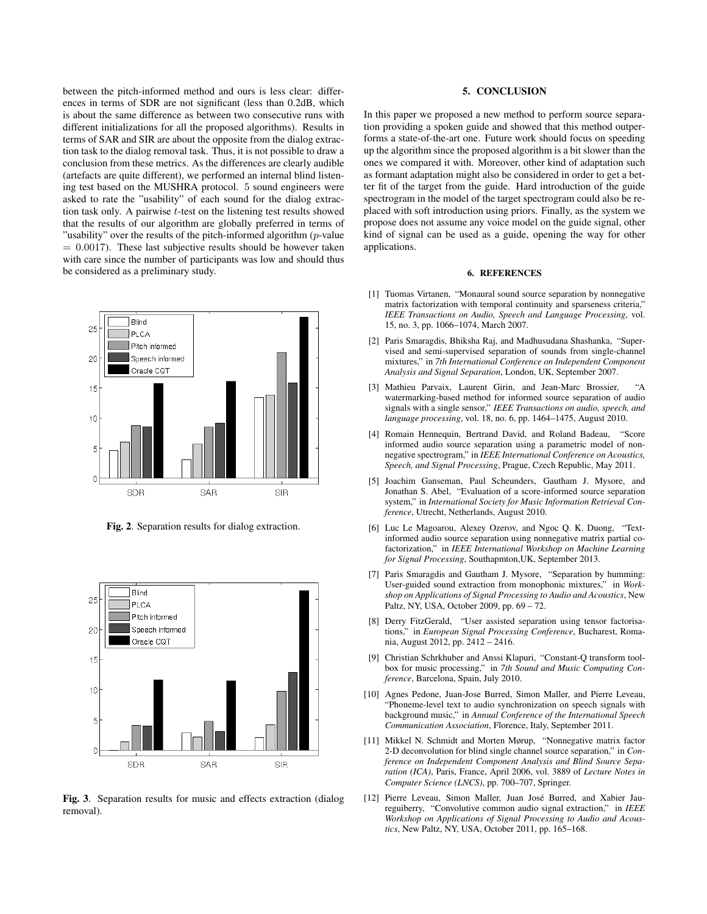between the pitch-informed method and ours is less clear: differences in terms of SDR are not significant (less than 0.2dB, which is about the same difference as between two consecutive runs with different initializations for all the proposed algorithms). Results in terms of SAR and SIR are about the opposite from the dialog extraction task to the dialog removal task. Thus, it is not possible to draw a conclusion from these metrics. As the differences are clearly audible (artefacts are quite different), we performed an internal blind listening test based on the MUSHRA protocol. 5 sound engineers were asked to rate the "usability" of each sound for the dialog extraction task only. A pairwise t-test on the listening test results showed that the results of our algorithm are globally preferred in terms of "usability" over the results of the pitch-informed algorithm  $(p$ -value  $= 0.0017$ ). These last subjective results should be however taken with care since the number of participants was low and should thus be considered as a preliminary study.



Fig. 2. Separation results for dialog extraction.



Fig. 3. Separation results for music and effects extraction (dialog removal).

#### 5. CONCLUSION

In this paper we proposed a new method to perform source separation providing a spoken guide and showed that this method outperforms a state-of-the-art one. Future work should focus on speeding up the algorithm since the proposed algorithm is a bit slower than the ones we compared it with. Moreover, other kind of adaptation such as formant adaptation might also be considered in order to get a better fit of the target from the guide. Hard introduction of the guide spectrogram in the model of the target spectrogram could also be replaced with soft introduction using priors. Finally, as the system we propose does not assume any voice model on the guide signal, other kind of signal can be used as a guide, opening the way for other applications.

# 6. REFERENCES

- [1] Tuomas Virtanen, "Monaural sound source separation by nonnegative matrix factorization with temporal continuity and sparseness criteria,' *IEEE Transactions on Audio, Speech and Language Processing*, vol. 15, no. 3, pp. 1066–1074, March 2007.
- [2] Paris Smaragdis, Bhiksha Raj, and Madhusudana Shashanka, "Supervised and semi-supervised separation of sounds from single-channel mixtures," in *7th International Conference on Independent Component Analysis and Signal Separation*, London, UK, September 2007.
- [3] Mathieu Parvaix, Laurent Girin, and Jean-Marc Brossier, "A watermarking-based method for informed source separation of audio signals with a single sensor," *IEEE Transactions on audio, speech, and language processing*, vol. 18, no. 6, pp. 1464–1475, August 2010.
- [4] Romain Hennequin, Bertrand David, and Roland Badeau, "Score informed audio source separation using a parametric model of nonnegative spectrogram," in *IEEE International Conference on Acoustics, Speech, and Signal Processing*, Prague, Czech Republic, May 2011.
- [5] Joachim Ganseman, Paul Scheunders, Gautham J. Mysore, and Jonathan S. Abel, "Evaluation of a score-informed source separation system," in *International Society for Music Information Retrieval Conference*, Utrecht, Netherlands, August 2010.
- [6] Luc Le Magoarou, Alexey Ozerov, and Ngoc Q. K. Duong, "Textinformed audio source separation using nonnegative matrix partial cofactorization," in *IEEE International Workshop on Machine Learning for Signal Processing*, Southapmton,UK, September 2013.
- [7] Paris Smaragdis and Gautham J. Mysore, "Separation by humming: User-guided sound extraction from monophonic mixtures," in *Workshop on Applications of Signal Processing to Audio and Acoustics*, New Paltz, NY, USA, October 2009, pp. 69 – 72.
- [8] Derry FitzGerald, "User assisted separation using tensor factorisations," in *European Signal Processing Conference*, Bucharest, Romania, August 2012, pp. 2412 – 2416.
- [9] Christian Schrkhuber and Anssi Klapuri, "Constant-Q transform toolbox for music processing," in *7th Sound and Music Computing Conference*, Barcelona, Spain, July 2010.
- [10] Agnes Pedone, Juan-Jose Burred, Simon Maller, and Pierre Leveau, "Phoneme-level text to audio synchronization on speech signals with background music," in *Annual Conference of the International Speech Communication Association*, Florence, Italy, September 2011.
- [11] Mikkel N. Schmidt and Morten Mørup, "Nonnegative matrix factor 2-D deconvolution for blind single channel source separation," in *Conference on Independent Component Analysis and Blind Source Separation (ICA)*, Paris, France, April 2006, vol. 3889 of *Lecture Notes in Computer Science (LNCS)*, pp. 700–707, Springer.
- [12] Pierre Leveau, Simon Maller, Juan José Burred, and Xabier Jaureguiberry, "Convolutive common audio signal extraction," in *IEEE Workshop on Applications of Signal Processing to Audio and Acoustics*, New Paltz, NY, USA, October 2011, pp. 165–168.